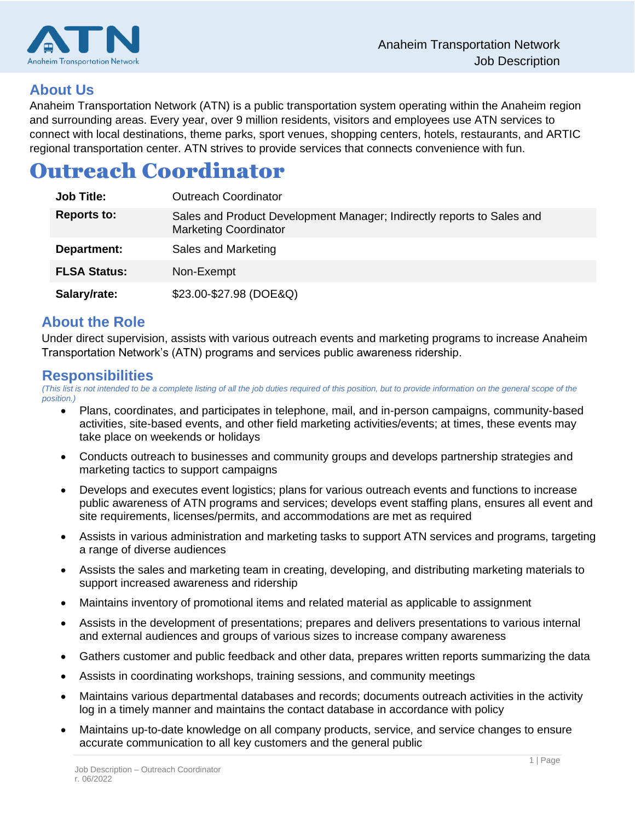

## **About Us**

Anaheim Transportation Network (ATN) is a public transportation system operating within the Anaheim region and surrounding areas. Every year, over 9 million residents, visitors and employees use ATN services to connect with local destinations, theme parks, sport venues, shopping centers, hotels, restaurants, and ARTIC regional transportation center. ATN strives to provide services that connects convenience with fun.

# Outreach Coordinator

| <b>Job Title:</b>   | <b>Outreach Coordinator</b>                                                                            |
|---------------------|--------------------------------------------------------------------------------------------------------|
| <b>Reports to:</b>  | Sales and Product Development Manager; Indirectly reports to Sales and<br><b>Marketing Coordinator</b> |
| Department:         | Sales and Marketing                                                                                    |
| <b>FLSA Status:</b> | Non-Exempt                                                                                             |
| Salary/rate:        | \$23.00-\$27.98 (DOE&Q)                                                                                |

## **About the Role**

Under direct supervision, assists with various outreach events and marketing programs to increase Anaheim Transportation Network's (ATN) programs and services public awareness ridership.

### **Responsibilities**

*(This list is not intended to be a complete listing of all the job duties required of this position, but to provide information on the general scope of the position.)*

- Plans, coordinates, and participates in telephone, mail, and in-person campaigns, community-based activities, site-based events, and other field marketing activities/events; at times, these events may take place on weekends or holidays
- Conducts outreach to businesses and community groups and develops partnership strategies and marketing tactics to support campaigns
- Develops and executes event logistics; plans for various outreach events and functions to increase public awareness of ATN programs and services; develops event staffing plans, ensures all event and site requirements, licenses/permits, and accommodations are met as required
- Assists in various administration and marketing tasks to support ATN services and programs, targeting a range of diverse audiences
- Assists the sales and marketing team in creating, developing, and distributing marketing materials to support increased awareness and ridership
- Maintains inventory of promotional items and related material as applicable to assignment
- Assists in the development of presentations; prepares and delivers presentations to various internal and external audiences and groups of various sizes to increase company awareness
- Gathers customer and public feedback and other data, prepares written reports summarizing the data
- Assists in coordinating workshops, training sessions, and community meetings
- Maintains various departmental databases and records; documents outreach activities in the activity log in a timely manner and maintains the contact database in accordance with policy
- Maintains up-to-date knowledge on all company products, service, and service changes to ensure accurate communication to all key customers and the general public